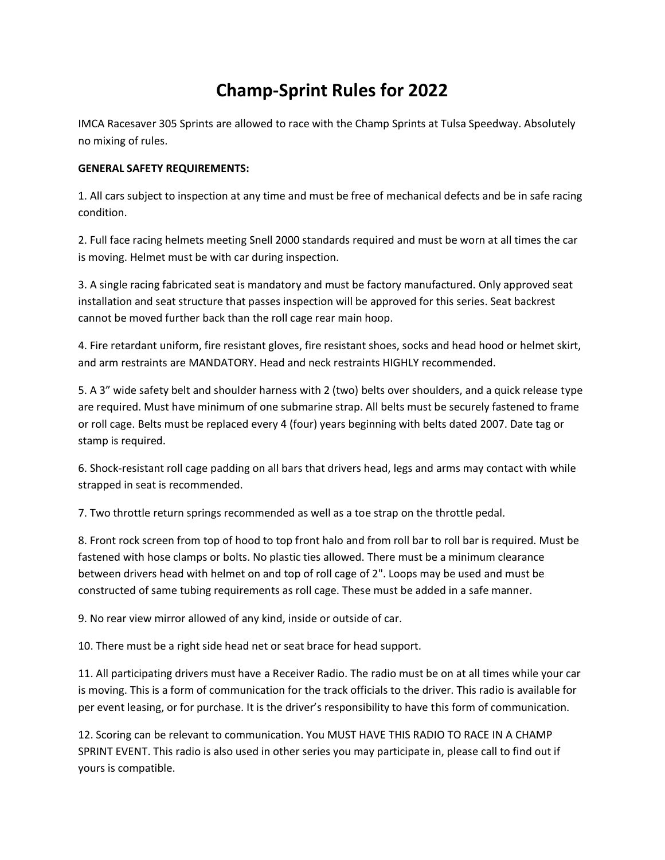# **Champ-Sprint Rules for 2022**

IMCA Racesaver 305 Sprints are allowed to race with the Champ Sprints at Tulsa Speedway. Absolutely no mixing of rules.

## **GENERAL SAFETY REQUIREMENTS:**

1. All cars subject to inspection at any time and must be free of mechanical defects and be in safe racing condition.

2. Full face racing helmets meeting Snell 2000 standards required and must be worn at all times the car is moving. Helmet must be with car during inspection.

3. A single racing fabricated seat is mandatory and must be factory manufactured. Only approved seat installation and seat structure that passes inspection will be approved for this series. Seat backrest cannot be moved further back than the roll cage rear main hoop.

4. Fire retardant uniform, fire resistant gloves, fire resistant shoes, socks and head hood or helmet skirt, and arm restraints are MANDATORY. Head and neck restraints HIGHLY recommended.

5. A 3" wide safety belt and shoulder harness with 2 (two) belts over shoulders, and a quick release type are required. Must have minimum of one submarine strap. All belts must be securely fastened to frame or roll cage. Belts must be replaced every 4 (four) years beginning with belts dated 2007. Date tag or stamp is required.

6. Shock-resistant roll cage padding on all bars that drivers head, legs and arms may contact with while strapped in seat is recommended.

7. Two throttle return springs recommended as well as a toe strap on the throttle pedal.

8. Front rock screen from top of hood to top front halo and from roll bar to roll bar is required. Must be fastened with hose clamps or bolts. No plastic ties allowed. There must be a minimum clearance between drivers head with helmet on and top of roll cage of 2". Loops may be used and must be constructed of same tubing requirements as roll cage. These must be added in a safe manner.

9. No rear view mirror allowed of any kind, inside or outside of car.

10. There must be a right side head net or seat brace for head support.

11. All participating drivers must have a Receiver Radio. The radio must be on at all times while your car is moving. This is a form of communication for the track officials to the driver. This radio is available for per event leasing, or for purchase. It is the driver's responsibility to have this form of communication.

12. Scoring can be relevant to communication. You MUST HAVE THIS RADIO TO RACE IN A CHAMP SPRINT EVENT. This radio is also used in other series you may participate in, please call to find out if yours is compatible.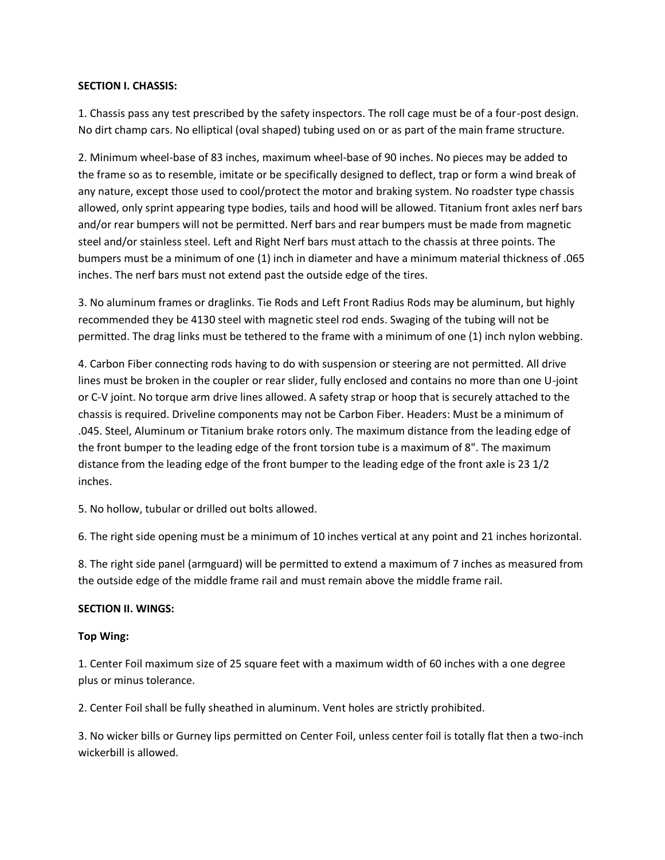#### **SECTION I. CHASSIS:**

1. Chassis pass any test prescribed by the safety inspectors. The roll cage must be of a four-post design. No dirt champ cars. No elliptical (oval shaped) tubing used on or as part of the main frame structure.

2. Minimum wheel-base of 83 inches, maximum wheel-base of 90 inches. No pieces may be added to the frame so as to resemble, imitate or be specifically designed to deflect, trap or form a wind break of any nature, except those used to cool/protect the motor and braking system. No roadster type chassis allowed, only sprint appearing type bodies, tails and hood will be allowed. Titanium front axles nerf bars and/or rear bumpers will not be permitted. Nerf bars and rear bumpers must be made from magnetic steel and/or stainless steel. Left and Right Nerf bars must attach to the chassis at three points. The bumpers must be a minimum of one (1) inch in diameter and have a minimum material thickness of .065 inches. The nerf bars must not extend past the outside edge of the tires.

3. No aluminum frames or draglinks. Tie Rods and Left Front Radius Rods may be aluminum, but highly recommended they be 4130 steel with magnetic steel rod ends. Swaging of the tubing will not be permitted. The drag links must be tethered to the frame with a minimum of one (1) inch nylon webbing.

4. Carbon Fiber connecting rods having to do with suspension or steering are not permitted. All drive lines must be broken in the coupler or rear slider, fully enclosed and contains no more than one U-joint or C-V joint. No torque arm drive lines allowed. A safety strap or hoop that is securely attached to the chassis is required. Driveline components may not be Carbon Fiber. Headers: Must be a minimum of .045. Steel, Aluminum or Titanium brake rotors only. The maximum distance from the leading edge of the front bumper to the leading edge of the front torsion tube is a maximum of 8". The maximum distance from the leading edge of the front bumper to the leading edge of the front axle is 23 1/2 inches.

5. No hollow, tubular or drilled out bolts allowed.

6. The right side opening must be a minimum of 10 inches vertical at any point and 21 inches horizontal.

8. The right side panel (armguard) will be permitted to extend a maximum of 7 inches as measured from the outside edge of the middle frame rail and must remain above the middle frame rail.

## **SECTION II. WINGS:**

## **Top Wing:**

1. Center Foil maximum size of 25 square feet with a maximum width of 60 inches with a one degree plus or minus tolerance.

2. Center Foil shall be fully sheathed in aluminum. Vent holes are strictly prohibited.

3. No wicker bills or Gurney lips permitted on Center Foil, unless center foil is totally flat then a two-inch wickerbill is allowed.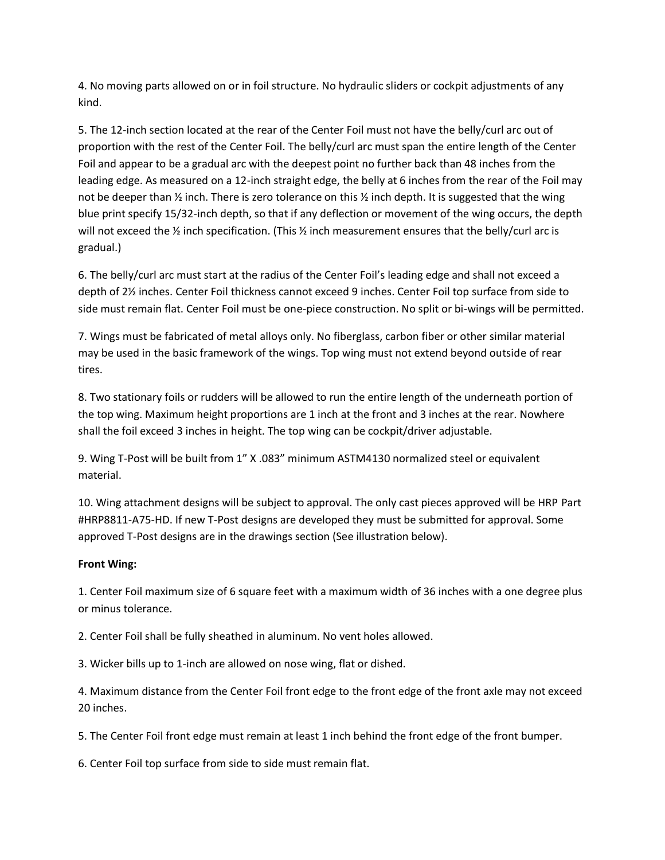4. No moving parts allowed on or in foil structure. No hydraulic sliders or cockpit adjustments of any kind.

5. The 12-inch section located at the rear of the Center Foil must not have the belly/curl arc out of proportion with the rest of the Center Foil. The belly/curl arc must span the entire length of the Center Foil and appear to be a gradual arc with the deepest point no further back than 48 inches from the leading edge. As measured on a 12-inch straight edge, the belly at 6 inches from the rear of the Foil may not be deeper than  $\frac{1}{2}$  inch. There is zero tolerance on this  $\frac{1}{2}$  inch depth. It is suggested that the wing blue print specify 15/32-inch depth, so that if any deflection or movement of the wing occurs, the depth will not exceed the  $\frac{1}{2}$  inch specification. (This  $\frac{1}{2}$  inch measurement ensures that the belly/curl arc is gradual.)

6. The belly/curl arc must start at the radius of the Center Foil's leading edge and shall not exceed a depth of 2½ inches. Center Foil thickness cannot exceed 9 inches. Center Foil top surface from side to side must remain flat. Center Foil must be one-piece construction. No split or bi-wings will be permitted.

7. Wings must be fabricated of metal alloys only. No fiberglass, carbon fiber or other similar material may be used in the basic framework of the wings. Top wing must not extend beyond outside of rear tires.

8. Two stationary foils or rudders will be allowed to run the entire length of the underneath portion of the top wing. Maximum height proportions are 1 inch at the front and 3 inches at the rear. Nowhere shall the foil exceed 3 inches in height. The top wing can be cockpit/driver adjustable.

9. Wing T-Post will be built from 1" X .083" minimum ASTM4130 normalized steel or equivalent material.

10. Wing attachment designs will be subject to approval. The only cast pieces approved will be HRP Part #HRP8811-A75-HD. If new T-Post designs are developed they must be submitted for approval. Some approved T-Post designs are in the drawings section (See illustration below).

## **Front Wing:**

1. Center Foil maximum size of 6 square feet with a maximum width of 36 inches with a one degree plus or minus tolerance.

2. Center Foil shall be fully sheathed in aluminum. No vent holes allowed.

3. Wicker bills up to 1-inch are allowed on nose wing, flat or dished.

4. Maximum distance from the Center Foil front edge to the front edge of the front axle may not exceed 20 inches.

5. The Center Foil front edge must remain at least 1 inch behind the front edge of the front bumper.

6. Center Foil top surface from side to side must remain flat.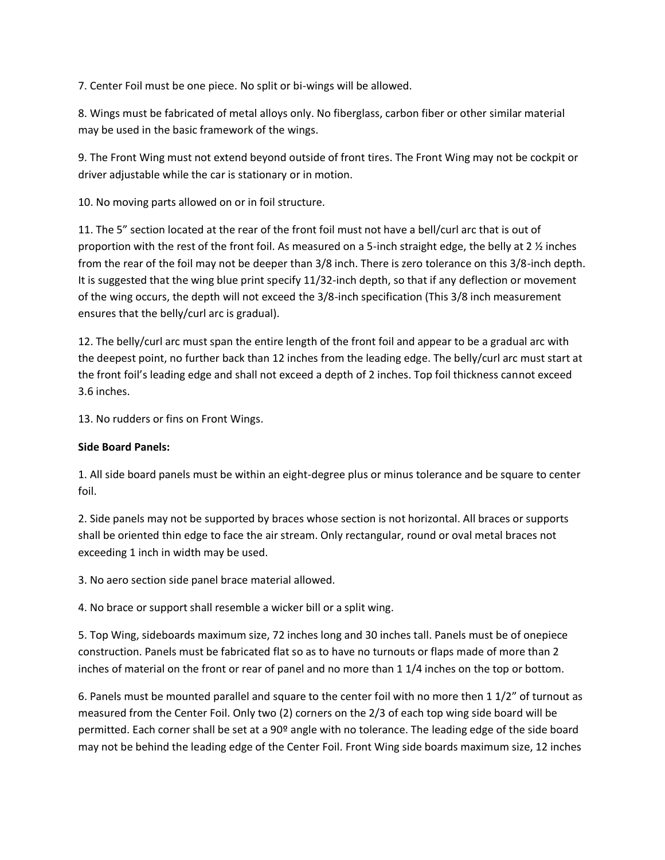7. Center Foil must be one piece. No split or bi-wings will be allowed.

8. Wings must be fabricated of metal alloys only. No fiberglass, carbon fiber or other similar material may be used in the basic framework of the wings.

9. The Front Wing must not extend beyond outside of front tires. The Front Wing may not be cockpit or driver adjustable while the car is stationary or in motion.

10. No moving parts allowed on or in foil structure.

11. The 5" section located at the rear of the front foil must not have a bell/curl arc that is out of proportion with the rest of the front foil. As measured on a 5-inch straight edge, the belly at 2 ½ inches from the rear of the foil may not be deeper than 3/8 inch. There is zero tolerance on this 3/8-inch depth. It is suggested that the wing blue print specify 11/32-inch depth, so that if any deflection or movement of the wing occurs, the depth will not exceed the 3/8-inch specification (This 3/8 inch measurement ensures that the belly/curl arc is gradual).

12. The belly/curl arc must span the entire length of the front foil and appear to be a gradual arc with the deepest point, no further back than 12 inches from the leading edge. The belly/curl arc must start at the front foil's leading edge and shall not exceed a depth of 2 inches. Top foil thickness cannot exceed 3.6 inches.

13. No rudders or fins on Front Wings.

# **Side Board Panels:**

1. All side board panels must be within an eight-degree plus or minus tolerance and be square to center foil.

2. Side panels may not be supported by braces whose section is not horizontal. All braces or supports shall be oriented thin edge to face the air stream. Only rectangular, round or oval metal braces not exceeding 1 inch in width may be used.

3. No aero section side panel brace material allowed.

4. No brace or support shall resemble a wicker bill or a split wing.

5. Top Wing, sideboards maximum size, 72 inches long and 30 inches tall. Panels must be of onepiece construction. Panels must be fabricated flat so as to have no turnouts or flaps made of more than 2 inches of material on the front or rear of panel and no more than 1 1/4 inches on the top or bottom.

6. Panels must be mounted parallel and square to the center foil with no more then 1 1/2" of turnout as measured from the Center Foil. Only two (2) corners on the 2/3 of each top wing side board will be permitted. Each corner shall be set at a 90º angle with no tolerance. The leading edge of the side board may not be behind the leading edge of the Center Foil. Front Wing side boards maximum size, 12 inches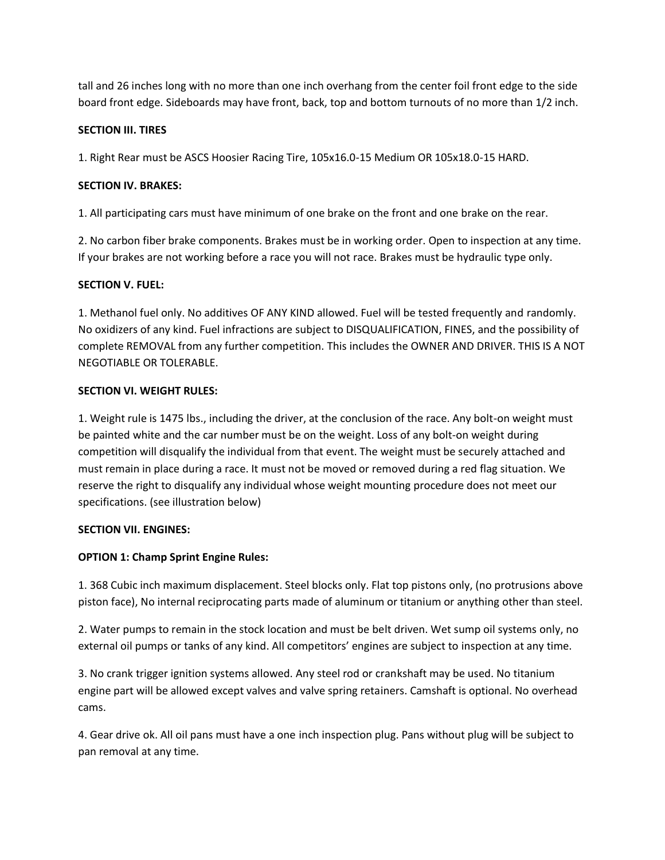tall and 26 inches long with no more than one inch overhang from the center foil front edge to the side board front edge. Sideboards may have front, back, top and bottom turnouts of no more than 1/2 inch.

## **SECTION III. TIRES**

1. Right Rear must be ASCS Hoosier Racing Tire, 105x16.0-15 Medium OR 105x18.0-15 HARD.

# **SECTION IV. BRAKES:**

1. All participating cars must have minimum of one brake on the front and one brake on the rear.

2. No carbon fiber brake components. Brakes must be in working order. Open to inspection at any time. If your brakes are not working before a race you will not race. Brakes must be hydraulic type only.

# **SECTION V. FUEL:**

1. Methanol fuel only. No additives OF ANY KIND allowed. Fuel will be tested frequently and randomly. No oxidizers of any kind. Fuel infractions are subject to DISQUALIFICATION, FINES, and the possibility of complete REMOVAL from any further competition. This includes the OWNER AND DRIVER. THIS IS A NOT NEGOTIABLE OR TOLERABLE.

# **SECTION VI. WEIGHT RULES:**

1. Weight rule is 1475 lbs., including the driver, at the conclusion of the race. Any bolt-on weight must be painted white and the car number must be on the weight. Loss of any bolt-on weight during competition will disqualify the individual from that event. The weight must be securely attached and must remain in place during a race. It must not be moved or removed during a red flag situation. We reserve the right to disqualify any individual whose weight mounting procedure does not meet our specifications. (see illustration below)

## **SECTION VII. ENGINES:**

# **OPTION 1: Champ Sprint Engine Rules:**

1. 368 Cubic inch maximum displacement. Steel blocks only. Flat top pistons only, (no protrusions above piston face), No internal reciprocating parts made of aluminum or titanium or anything other than steel.

2. Water pumps to remain in the stock location and must be belt driven. Wet sump oil systems only, no external oil pumps or tanks of any kind. All competitors' engines are subject to inspection at any time.

3. No crank trigger ignition systems allowed. Any steel rod or crankshaft may be used. No titanium engine part will be allowed except valves and valve spring retainers. Camshaft is optional. No overhead cams.

4. Gear drive ok. All oil pans must have a one inch inspection plug. Pans without plug will be subject to pan removal at any time.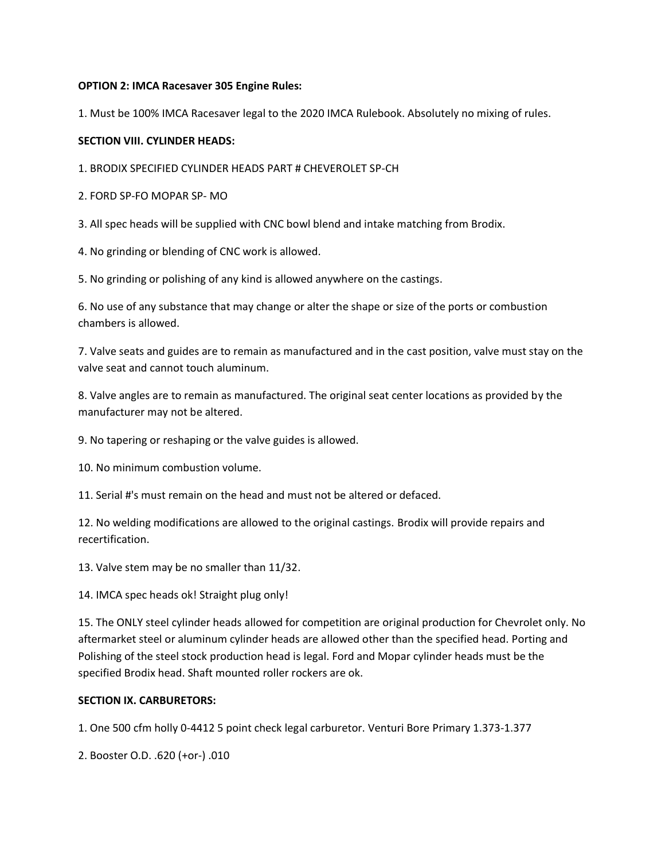## **OPTION 2: IMCA Racesaver 305 Engine Rules:**

1. Must be 100% IMCA Racesaver legal to the 2020 IMCA Rulebook. Absolutely no mixing of rules.

#### **SECTION VIII. CYLINDER HEADS:**

1. BRODIX SPECIFIED CYLINDER HEADS PART # CHEVEROLET SP-CH

2. FORD SP-FO MOPAR SP- MO

3. All spec heads will be supplied with CNC bowl blend and intake matching from Brodix.

4. No grinding or blending of CNC work is allowed.

5. No grinding or polishing of any kind is allowed anywhere on the castings.

6. No use of any substance that may change or alter the shape or size of the ports or combustion chambers is allowed.

7. Valve seats and guides are to remain as manufactured and in the cast position, valve must stay on the valve seat and cannot touch aluminum.

8. Valve angles are to remain as manufactured. The original seat center locations as provided by the manufacturer may not be altered.

9. No tapering or reshaping or the valve guides is allowed.

10. No minimum combustion volume.

11. Serial #'s must remain on the head and must not be altered or defaced.

12. No welding modifications are allowed to the original castings. Brodix will provide repairs and recertification.

13. Valve stem may be no smaller than 11/32.

14. IMCA spec heads ok! Straight plug only!

15. The ONLY steel cylinder heads allowed for competition are original production for Chevrolet only. No aftermarket steel or aluminum cylinder heads are allowed other than the specified head. Porting and Polishing of the steel stock production head is legal. Ford and Mopar cylinder heads must be the specified Brodix head. Shaft mounted roller rockers are ok.

## **SECTION IX. CARBURETORS:**

1. One 500 cfm holly 0-4412 5 point check legal carburetor. Venturi Bore Primary 1.373-1.377

2. Booster O.D. .620 (+or-) .010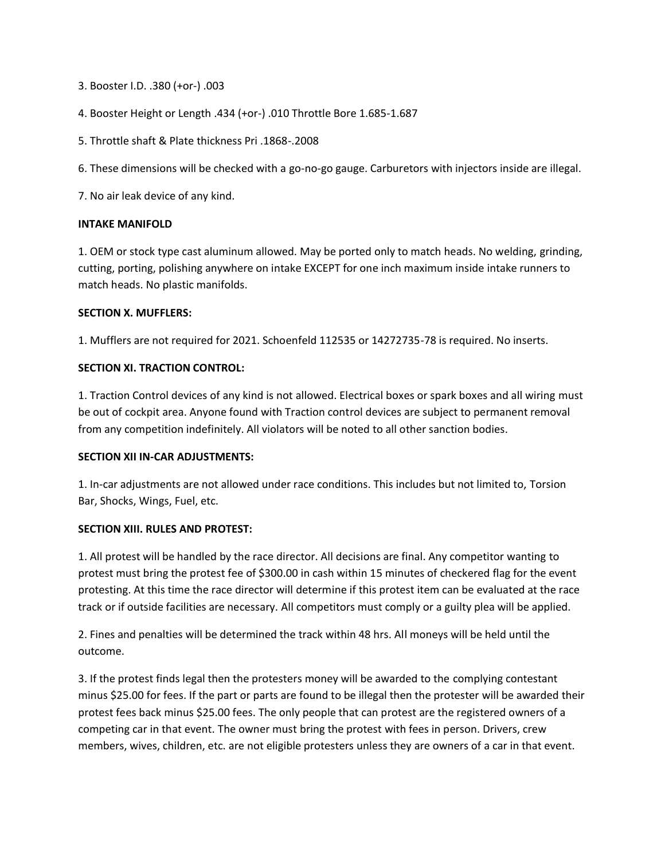3. Booster I.D. .380 (+or-) .003

- 4. Booster Height or Length .434 (+or-) .010 Throttle Bore 1.685-1.687
- 5. Throttle shaft & Plate thickness Pri .1868-.2008

6. These dimensions will be checked with a go-no-go gauge. Carburetors with injectors inside are illegal.

7. No air leak device of any kind.

#### **INTAKE MANIFOLD**

1. OEM or stock type cast aluminum allowed. May be ported only to match heads. No welding, grinding, cutting, porting, polishing anywhere on intake EXCEPT for one inch maximum inside intake runners to match heads. No plastic manifolds.

#### **SECTION X. MUFFLERS:**

1. Mufflers are not required for 2021. Schoenfeld 112535 or 14272735-78 is required. No inserts.

#### **SECTION XI. TRACTION CONTROL:**

1. Traction Control devices of any kind is not allowed. Electrical boxes or spark boxes and all wiring must be out of cockpit area. Anyone found with Traction control devices are subject to permanent removal from any competition indefinitely. All violators will be noted to all other sanction bodies.

#### **SECTION XII IN-CAR ADJUSTMENTS:**

1. In-car adjustments are not allowed under race conditions. This includes but not limited to, Torsion Bar, Shocks, Wings, Fuel, etc.

#### **SECTION XIII. RULES AND PROTEST:**

1. All protest will be handled by the race director. All decisions are final. Any competitor wanting to protest must bring the protest fee of \$300.00 in cash within 15 minutes of checkered flag for the event protesting. At this time the race director will determine if this protest item can be evaluated at the race track or if outside facilities are necessary. All competitors must comply or a guilty plea will be applied.

2. Fines and penalties will be determined the track within 48 hrs. All moneys will be held until the outcome.

3. If the protest finds legal then the protesters money will be awarded to the complying contestant minus \$25.00 for fees. If the part or parts are found to be illegal then the protester will be awarded their protest fees back minus \$25.00 fees. The only people that can protest are the registered owners of a competing car in that event. The owner must bring the protest with fees in person. Drivers, crew members, wives, children, etc. are not eligible protesters unless they are owners of a car in that event.